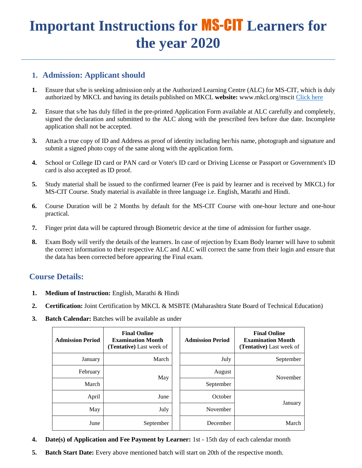# **Important Instructions for** MS-CIT **Learners for the year 2020**

\_\_\_\_\_\_\_\_\_\_\_\_\_\_\_\_\_\_\_\_\_\_\_\_\_\_\_\_\_\_\_\_\_\_\_\_\_\_\_\_\_\_\_\_\_\_\_\_\_\_\_\_\_\_\_\_\_\_\_\_\_\_\_\_\_\_\_\_\_\_\_\_\_\_\_\_\_\_\_\_\_\_

### **1. Admission: Applicant should**

- **1.** Ensure that s/he is seeking admission only at the Authorized Learning Centre (ALC) for MS-CIT, which is duly authorized by MKCL and having its details published on MKCL **website:** [www.mkcl.org/mscit](http://www.mkcl.org/mscit) [Click here](http://solarex.mkcl.org/EF/ATC_NEW/report/rptDistrictWiseCenterDetails.jsp)
- **2.** Ensure that s/he has duly filled in the pre-printed Application Form available at ALC carefully and completely, signed the declaration and submitted to the ALC along with the prescribed fees before due date. Incomplete application shall not be accepted.
- **3.** Attach a true copy of ID and Address as proof of identity including her/his name, photograph and signature and submit a signed photo copy of the same along with the application form.
- **4.** School or College ID card or PAN card or Voter's ID card or Driving License or Passport or Government's ID card is also accepted as ID proof.
- **5.** Study material shall be issued to the confirmed learner (Fee is paid by learner and is received by MKCL) for MS-CIT Course. Study material is available in three language i.e. English, Marathi and Hindi.
- **6.** Course Duration will be 2 Months by default for the MS-CIT Course with one-hour lecture and one-hour practical.
- **7.** Finger print data will be captured through Biometric device at the time of admission for further usage.
- **8.** Exam Body will verify the details of the learners. In case of rejection by Exam Body learner will have to submit the correct information to their respective ALC and ALC will correct the same from their login and ensure that the data has been corrected before appearing the Final exam.

#### **Course Details:**

- **1. Medium of Instruction:** English, Marathi & Hindi
- **2. Certification:** Joint Certification by MKCL & MSBTE (Maharashtra State Board of Technical Education)
- **3. Batch Calendar:** Batches will be available as under

| <b>Admission Period</b> | <b>Final Online</b><br><b>Examination Month</b><br>(Tentative) Last week of |     | <b>Admission Period</b> | <b>Final Online</b><br><b>Examination Month</b><br>(Tentative) Last week of |
|-------------------------|-----------------------------------------------------------------------------|-----|-------------------------|-----------------------------------------------------------------------------|
| January                 | March                                                                       |     | July                    | September                                                                   |
| February                |                                                                             |     | August                  | November                                                                    |
| March                   |                                                                             | May | September               |                                                                             |
| April                   | June                                                                        |     | October                 |                                                                             |
| May                     | July                                                                        |     | November                | January                                                                     |
| June                    | September                                                                   |     | December                | March                                                                       |

- **4. Date(s) of Application and Fee Payment by Learner:** 1st 15th day of each calendar month
- **5. Batch Start Date:** Every above mentioned batch will start on 20th of the respective month.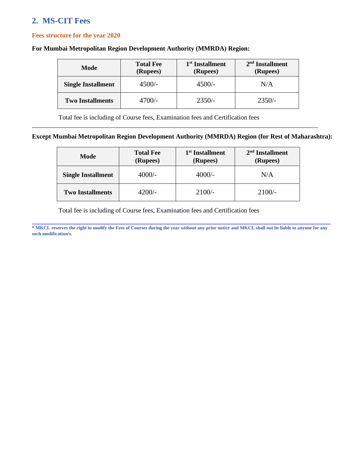## **2. MS-CIT Fees**

#### **Fees structure for the year 2020**

#### **For Mumbai Metropolitan Region Development Authority (MMRDA) Region:**

| Mode                      | <b>Total Fee</b><br>(Rupees) | 1 <sup>st</sup> Installment<br>(Rupees) | $2nd$ Installment<br>(Rupees) |
|---------------------------|------------------------------|-----------------------------------------|-------------------------------|
| <b>Single Installment</b> | $4500/-$                     | $4500/-$                                | N/A                           |
| <b>Two Installments</b>   | $4700/-$                     | $2350/-$                                | $2350/-$                      |

Total fee is including of Course fees, Examination fees and Certification fees

#### **Except Mumbai Metropolitan Region Development Authority (MMRDA) Region (for Rest of Maharashtra):**

\_\_\_\_\_\_\_\_\_\_\_\_\_\_\_\_\_\_\_\_\_\_\_\_\_\_\_\_\_\_\_\_\_\_\_\_\_\_\_\_\_\_\_\_\_\_\_\_\_\_\_\_\_\_\_\_\_\_\_\_\_\_\_\_\_\_\_\_\_\_\_\_\_\_\_\_\_\_\_\_\_\_\_\_\_\_\_\_

| Mode                      | <b>Total Fee</b><br>(Rupees) | 1 <sup>st</sup> Installment<br>(Rupees) | $2nd$ Installment<br>(Rupees) |
|---------------------------|------------------------------|-----------------------------------------|-------------------------------|
| <b>Single Installment</b> | $4000/-$                     | $4000/-$                                | N/A                           |
| <b>Two Installments</b>   | 4200/-                       | $2100/-$                                | $2100/-$                      |

Total fee is including of Course fees, Examination fees and Certification fees

**\_\_\_\_\_\_\_\_\_\_\_\_\_\_\_\_\_\_\_\_\_\_\_\_\_\_\_\_\_\_\_\_\_\_\_\_\_\_\_\_\_\_\_\_\_\_\_\_\_\_\_\_\_\_\_\_\_\_\_\_\_\_\_\_\_\_\_\_\_\_\_\_\_\_\_\_\_\_\_\_\_\_\_\_\_\_\_\_\_\_\_\_ \* MKCL reserves the right to modify the Fees of Courses during the year without any prior notice and MKCL shall not be liable to anyone for any such modification/s.**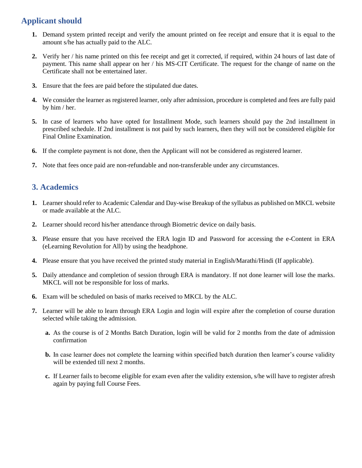## **Applicant should**

- **1.** Demand system printed receipt and verify the amount printed on fee receipt and ensure that it is equal to the amount s/he has actually paid to the ALC.
- **2.** Verify her / his name printed on this fee receipt and get it corrected, if required, within 24 hours of last date of payment. This name shall appear on her / his MS-CIT Certificate. The request for the change of name on the Certificate shall not be entertained later.
- **3.** Ensure that the fees are paid before the stipulated due dates.
- **4.** We consider the learner as registered learner, only after admission, procedure is completed and fees are fully paid by him / her.
- **5.** In case of learners who have opted for Installment Mode, such learners should pay the 2nd installment in prescribed schedule. If 2nd installment is not paid by such learners, then they will not be considered eligible for Final Online Examination.
- **6.** If the complete payment is not done, then the Applicant will not be considered as registered learner.
- **7.** Note that fees once paid are non-refundable and non-transferable under any circumstances.

#### **3. Academics**

- **1.** Learner should refer to Academic Calendar and Day-wise Breakup of the syllabus as published on MKCL website or made available at the ALC.
- **2.** Learner should record his/her attendance through Biometric device on daily basis.
- **3.** Please ensure that you have received the ERA login ID and Password for accessing the e-Content in ERA (eLearning Revolution for All) by using the headphone.
- **4.** Please ensure that you have received the printed study material in English/Marathi/Hindi (If applicable).
- **5.** Daily attendance and completion of session through ERA is mandatory. If not done learner will lose the marks. MKCL will not be responsible for loss of marks.
- **6.** Exam will be scheduled on basis of marks received to MKCL by the ALC.
- **7.** Learner will be able to learn through ERA Login and login will expire after the completion of course duration selected while taking the admission.
	- **a.** As the course is of 2 Months Batch Duration, login will be valid for 2 months from the date of admission confirmation
	- **b.** In case learner does not complete the learning within specified batch duration then learner's course validity will be extended till next 2 months.
	- **c.** If Learner fails to become eligible for exam even after the validity extension, s/he will have to register afresh again by paying full Course Fees.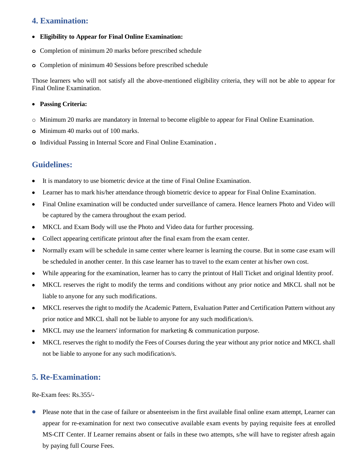#### **4. Examination:**

- **Eligibility to Appear for Final Online Examination:**
- **o** Completion of minimum 20 marks before prescribed schedule
- **o** Completion of minimum 40 Sessions before prescribed schedule

Those learners who will not satisfy all the above-mentioned eligibility criteria, they will not be able to appear for Final Online Examination.

#### **Passing Criteria:**

- o Minimum 20 marks are mandatory in Internal to become eligible to appear for Final Online Examination.
- **o** Minimum 40 marks out of 100 marks.
- **o** Individual Passing in Internal Score and Final Online Examination.

## **Guidelines:**

- It is mandatory to use biometric device at the time of Final Online Examination.
- Learner has to mark his/her attendance through biometric device to appear for Final Online Examination.
- Final Online examination will be conducted under surveillance of camera. Hence learners Photo and Video will be captured by the camera throughout the exam period.
- MKCL and Exam Body will use the Photo and Video data for further processing.
- Collect appearing certificate printout after the final exam from the exam center.
- Normally exam will be schedule in same center where learner is learning the course. But in some case exam will be scheduled in another center. In this case learner has to travel to the exam center at his/her own cost.
- While appearing for the examination, learner has to carry the printout of Hall Ticket and original Identity proof.
- MKCL reserves the right to modify the terms and conditions without any prior notice and MKCL shall not be liable to anyone for any such modifications.
- MKCL reserves the right to modify the Academic Pattern, Evaluation Patter and Certification Pattern without any prior notice and MKCL shall not be liable to anyone for any such modification/s.
- MKCL may use the learners' information for marketing & communication purpose.
- MKCL reserves the right to modify the Fees of Courses during the year without any prior notice and MKCL shall not be liable to anyone for any such modification/s.

#### **5. Re-Examination:**

Re-Exam fees: Rs.355/-

 Please note that in the case of failure or absenteeism in the first available final online exam attempt, Learner can appear for re-examination for next two consecutive available exam events by paying requisite fees at enrolled MS-CIT Center. If Learner remains absent or fails in these two attempts, s/he will have to register afresh again by paying full Course Fees.